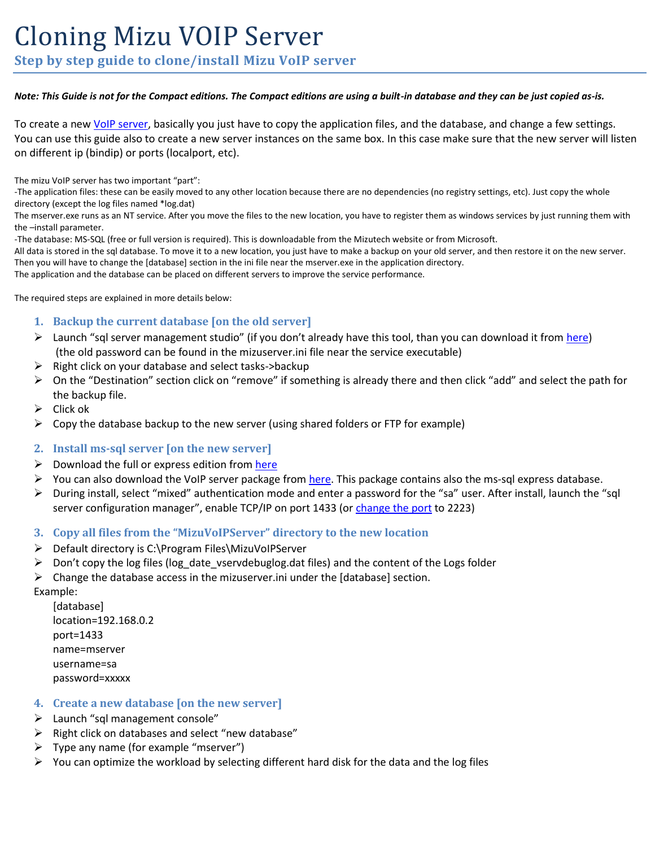# Cloning Mizu VOIP Server

**Step by step guide to clone/install Mizu VoIP server**

#### *Note: This Guide is not for the Compact editions. The Compact editions are using a built-in database and they can be just copied as-is.*

To create a ne[w VoIP server,](https://www.mizu-voip.com/Software/VoIPServer.aspx) basically you just have to copy the application files, and the database, and change a few settings. You can use this guide also to create a new server instances on the same box. In this case make sure that the new server will listen on different ip (bindip) or ports (localport, etc).

The mizu VoIP server has two important "part":

-The application files: these can be easily moved to any other location because there are no dependencies (no registry settings, etc). Just copy the whole directory (except the log files named \*log.dat)

The mserver.exe runs as an NT service. After you move the files to the new location, you have to register them as windows services by just running them with the –install parameter.

-The database: MS-SQL (free or full version is required). This is downloadable from the Mizutech website or from Microsoft.

All data is stored in the sql database. To move it to a new location, you just have to make a backup on your old server, and then restore it on the new server. Then you will have to change the [database] section in the ini file near the mserver.exe in the application directory.

The application and the database can be placed on different servers to improve the service performance.

The required steps are explained in more details below:

- **1. Backup the current database [on the old server]**
- $\triangleright$  Launch "sql server management studio" (if you don't already have this tool, than you can download it from [here\)](https://docs.microsoft.com/en-us/sql/ssms/download-sql-server-management-studio-ssms) (the old password can be found in the mizuserver.ini file near the service executable)
- $\triangleright$  Right click on your database and select tasks->backup
- $\triangleright$  On the "Destination" section click on "remove" if something is already there and then click "add" and select the path for the backup file.
- $\triangleright$  Click ok
- $\triangleright$  Copy the database backup to the new server (using shared folders or FTP for example)
- **2. Install ms-sql server [on the new server]**
- $\triangleright$  Download the full or express edition fro[m here](https://www.microsoft.com/en-us/sql-server/sql-server-editions-express)
- $\triangleright$  You can also download the VoIP server package fro[m here.](https://www.mizu-voip.com/Portals/0/Files/MizuVoIPServer.exe) This package contains also the ms-sql express database.
- During install, select "mixed" authentication mode and enter a password for the "sa" user. After install, launch the "sql server configuration manager", enable TCP/IP on port 1433 (o[r change the port](https://manage.accuwebhosting.com/knowledgebase/1287/How-to-change-the-port-for-MSSQL-Server-2008.html) to 2223)

### **3. Copy all files from the "MizuVoIPServer" directory to the new location**

- Default directory is C:\Program Files\MizuVoIPServer
- $\triangleright$  Don't copy the log files (log\_date\_vservdebuglog.dat files) and the content of the Logs folder
- $\triangleright$  Change the database access in the mizuserver. ini under the [database] section.

Example:

[database] location=192.168.0.2 port=1433 name=mserver username=sa password=xxxxx

## **4. Create a new database [on the new server]**

- $\blacktriangleright$  Launch "sql management console"
- $\triangleright$  Right click on databases and select "new database"
- $\triangleright$  Type any name (for example "mserver")
- $\triangleright$  You can optimize the workload by selecting different hard disk for the data and the log files